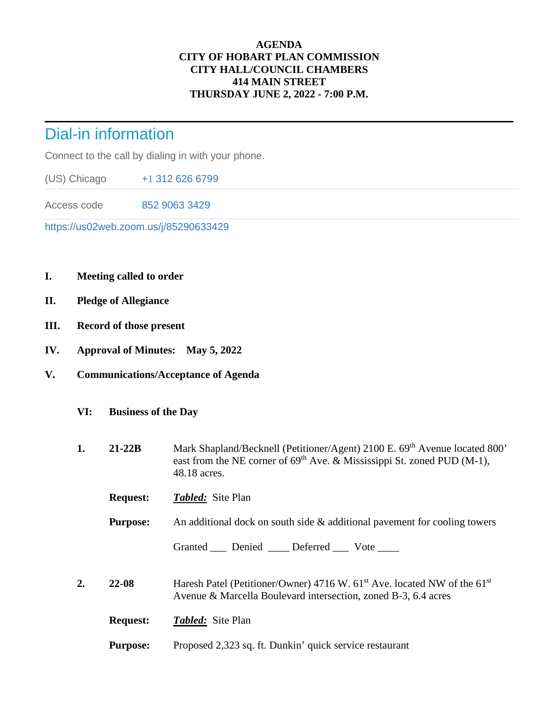## **AGENDA CITY OF HOBART PLAN COMMISSION CITY HALL/COUNCIL CHAMBERS 414 MAIN STREET THURSDAY JUNE 2, 2022 - 7:00 P.M.**

## Dial-in information

Connect to the call by dialing in with your phone.

(US) Chicago +[1](tel:+17172758940,,216%201165) 312 626 6799

Access code 852 9063 3429

https://us02web.zoom.us/j/85290633429

- **I. Meeting called to order**
- **II. Pledge of Allegiance**
- **III. Record of those present**
- **IV. Approval of Minutes: May 5, 2022**
- **V. Communications/Acceptance of Agenda** 
	- **VI: Business of the Day**
	- **1. 21-22B** Mark Shapland/Becknell (Petitioner/Agent) 2100 E. 69<sup>th</sup> Avenue located 800' east from the NE corner of  $69<sup>th</sup>$  Ave. & Mississippi St. zoned PUD (M-1), 48.18 acres.
		- **Request:** *Tabled:* Site Plan

**Purpose:** An additional dock on south side & additional pavement for cooling towers

Granted \_\_\_ Denied \_\_\_ Deferred \_\_\_ Vote \_\_\_

**2. 22-08** Haresh Patel (Petitioner/Owner) 4716 W. 61<sup>st</sup> Ave. located NW of the 61<sup>st</sup> Avenue & Marcella Boulevard intersection, zoned B-3, 6.4 acres

**Request:** *Tabled:* Site Plan

**Purpose:** Proposed 2,323 sq. ft. Dunkin' quick service restaurant